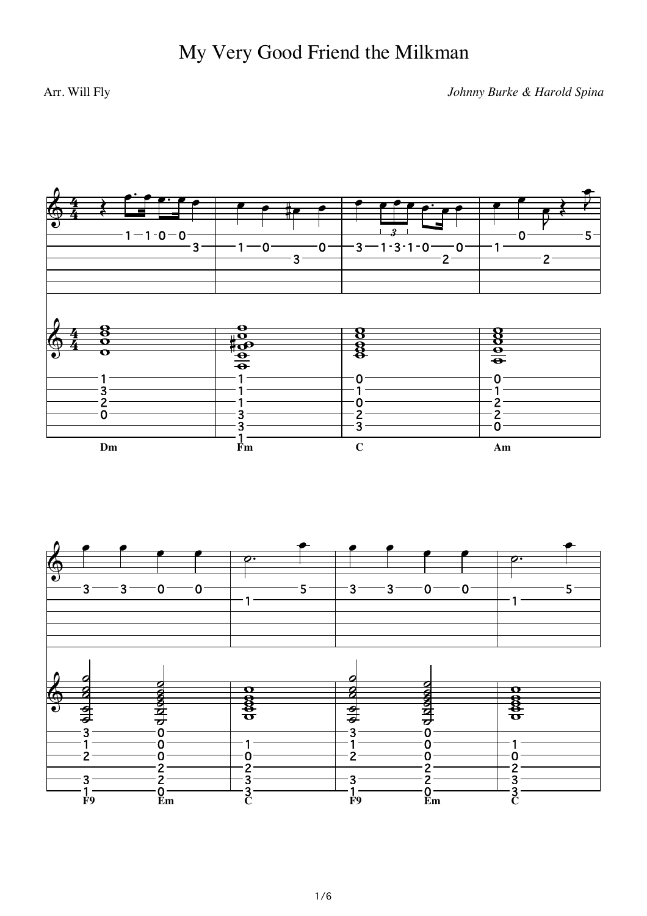## Arr. Will Fly

Johnny Burke & Harold Spina

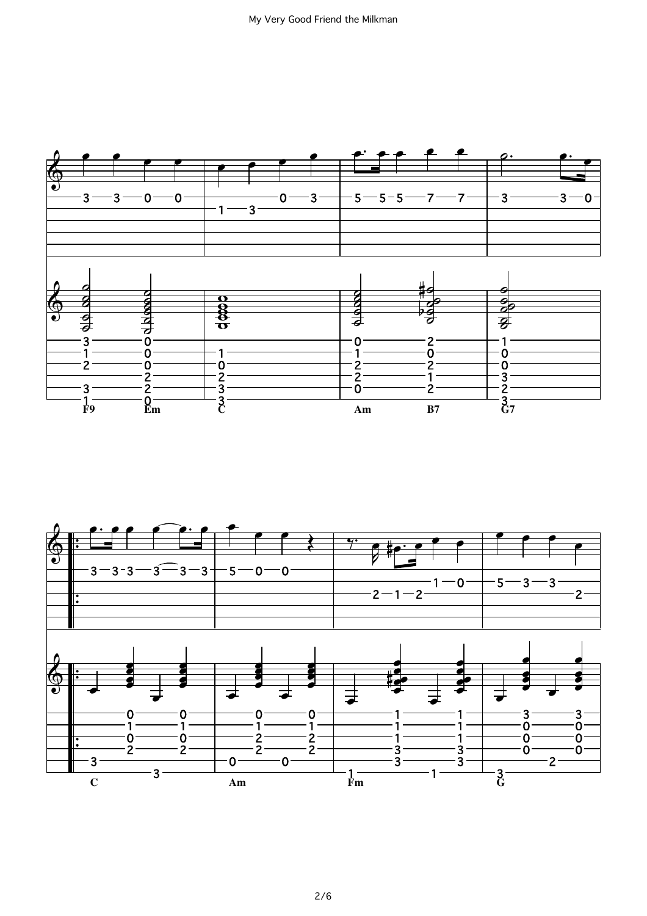

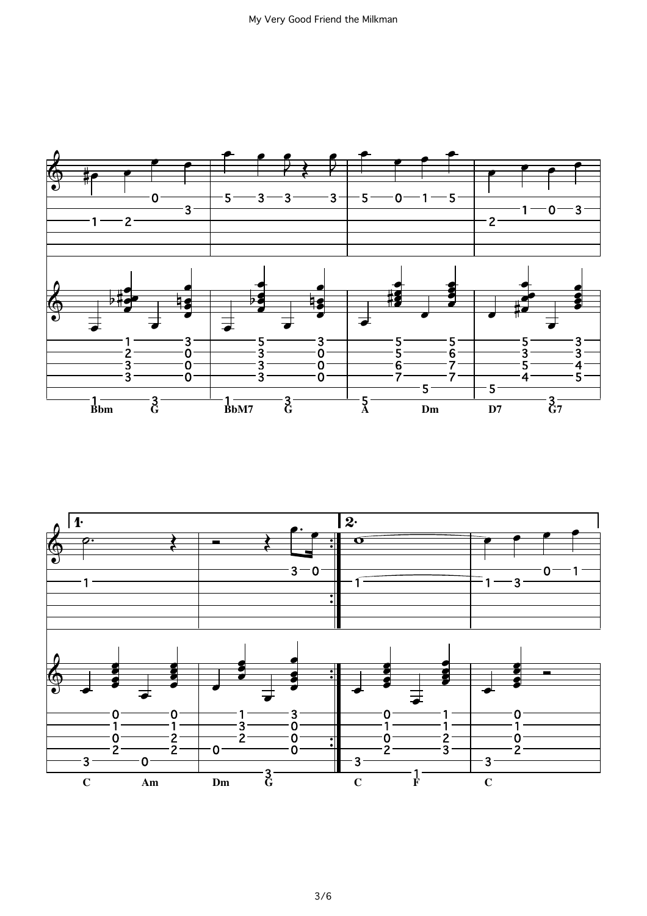

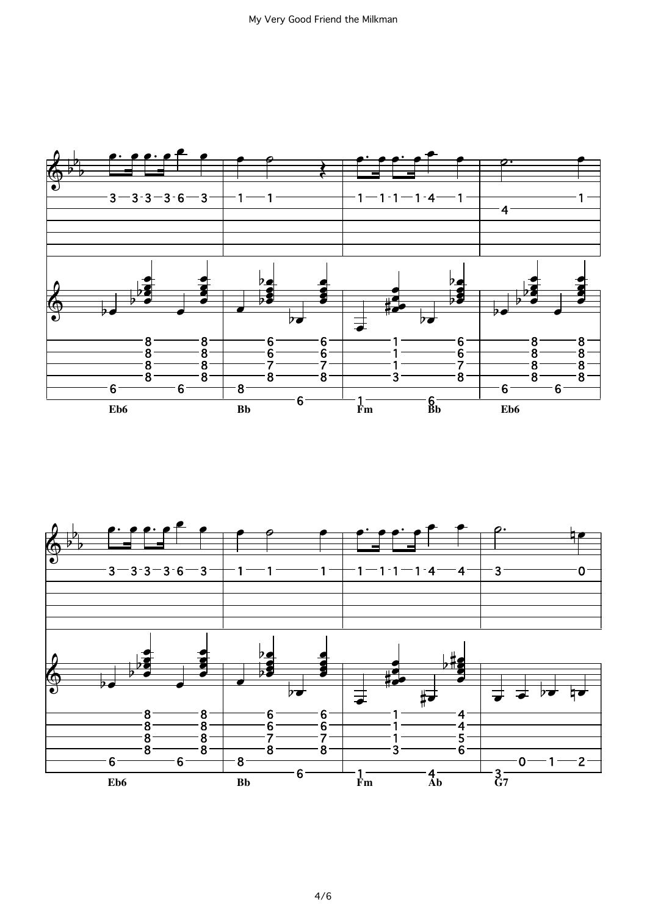

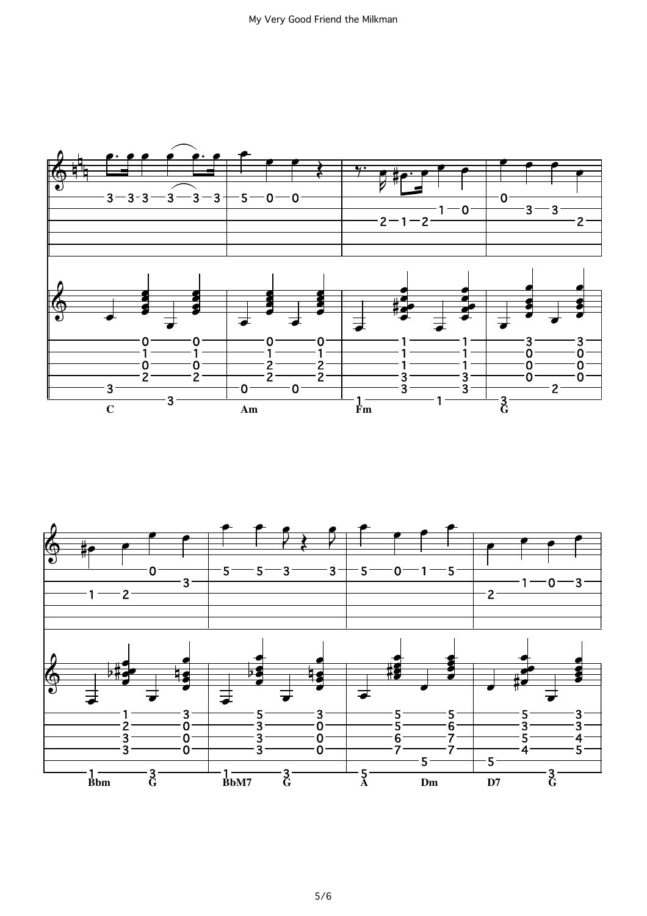